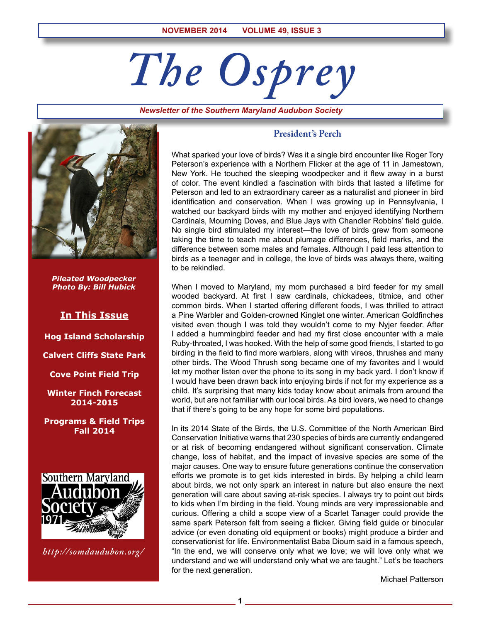# *The Osprey*

*Newsletter of the Southern Maryland Audubon Society*



*Pileated Woodpecker Photo By: Bill Hubick*

## **In This Issue**

**Hog Island Scholarship**

**Calvert Cliffs State Park**

**Cove Point Field Trip**

**Winter Finch Forecast 2014-2015**

**Programs & Field Trips Fall 2014**



*http://somdaudubon.org/*

## **President's Perch**

What sparked your love of birds? Was it a single bird encounter like Roger Tory Peterson's experience with a Northern Flicker at the age of 11 in Jamestown, New York. He touched the sleeping woodpecker and it flew away in a burst of color. The event kindled a fascination with birds that lasted a lifetime for Peterson and led to an extraordinary career as a naturalist and pioneer in bird identification and conservation. When I was growing up in Pennsylvania, I watched our backyard birds with my mother and enjoyed identifying Northern Cardinals, Mourning Doves, and Blue Jays with Chandler Robbins' field guide. No single bird stimulated my interest—the love of birds grew from someone taking the time to teach me about plumage differences, field marks, and the difference between some males and females. Although I paid less attention to birds as a teenager and in college, the love of birds was always there, waiting to be rekindled.

When I moved to Maryland, my mom purchased a bird feeder for my small wooded backyard. At first I saw cardinals, chickadees, titmice, and other common birds. When I started offering different foods, I was thrilled to attract a Pine Warbler and Golden-crowned Kinglet one winter. American Goldfinches visited even though I was told they wouldn't come to my Nyjer feeder. After I added a hummingbird feeder and had my first close encounter with a male Ruby-throated, I was hooked. With the help of some good friends, I started to go birding in the field to find more warblers, along with vireos, thrushes and many other birds. The Wood Thrush song became one of my favorites and I would let my mother listen over the phone to its song in my back yard. I don't know if I would have been drawn back into enjoying birds if not for my experience as a child. It's surprising that many kids today know about animals from around the world, but are not familiar with our local birds. As bird lovers, we need to change that if there's going to be any hope for some bird populations.

In its 2014 State of the Birds, the U.S. Committee of the North American Bird Conservation Initiative warns that 230 species of birds are currently endangered or at risk of becoming endangered without significant conservation. Climate change, loss of habitat, and the impact of invasive species are some of the major causes. One way to ensure future generations continue the conservation efforts we promote is to get kids interested in birds. By helping a child learn about birds, we not only spark an interest in nature but also ensure the next generation will care about saving at-risk species. I always try to point out birds to kids when I'm birding in the field. Young minds are very impressionable and curious. Offering a child a scope view of a Scarlet Tanager could provide the same spark Peterson felt from seeing a flicker. Giving field guide or binocular advice (or even donating old equipment or books) might produce a birder and conservationist for life. Environmentalist Baba Dioum said in a famous speech, "In the end, we will conserve only what we love; we will love only what we understand and we will understand only what we are taught." Let's be teachers for the next generation.

Michael Patterson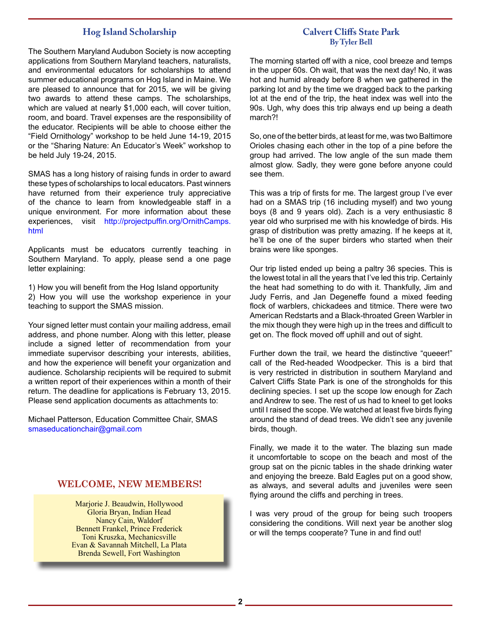## **Hog Island Scholarship**

The Southern Maryland Audubon Society is now accepting applications from Southern Maryland teachers, naturalists, and environmental educators for scholarships to attend summer educational programs on Hog Island in Maine. We are pleased to announce that for 2015, we will be giving two awards to attend these camps. The scholarships, which are valued at nearly \$1,000 each, will cover tuition, room, and board. Travel expenses are the responsibility of the educator. Recipients will be able to choose either the "Field Ornithology" workshop to be held June 14-19, 2015 or the "Sharing Nature: An Educator's Week" workshop to be held July 19-24, 2015.

SMAS has a long history of raising funds in order to award these types of scholarships to local educators. Past winners have returned from their experience truly appreciative of the chance to learn from knowledgeable staff in a unique environment. For more information about these experiences, visit http://projectpuffin.org/OrnithCamps. html

Applicants must be educators currently teaching in Southern Maryland. To apply, please send a one page letter explaining:

1) How you will benefit from the Hog Island opportunity 2) How you will use the workshop experience in your teaching to support the SMAS mission.

Your signed letter must contain your mailing address, email address, and phone number. Along with this letter, please include a signed letter of recommendation from your immediate supervisor describing your interests, abilities, and how the experience will benefit your organization and audience. Scholarship recipients will be required to submit a written report of their experiences within a month of their return. The deadline for applications is February 13, 2015. Please send application documents as attachments to:

Michael Patterson, Education Committee Chair, SMAS smaseducationchair@gmail.com

## **WELCOME, NEW MEMBERS!**

Marjorie J. Beaudwin, Hollywood Gloria Bryan, Indian Head Nancy Cain, Waldorf Bennett Frankel, Prince Frederick Toni Kruszka, Mechanicsville Evan & Savannah Mitchell, La Plata Brenda Sewell, Fort Washington

## **Calvert Cliffs State Park By Tyler Bell**

The morning started off with a nice, cool breeze and temps in the upper 60s. Oh wait, that was the next day! No, it was hot and humid already before 8 when we gathered in the parking lot and by the time we dragged back to the parking lot at the end of the trip, the heat index was well into the 90s. Ugh, why does this trip always end up being a death march?!

So, one of the better birds, at least for me, was two Baltimore Orioles chasing each other in the top of a pine before the group had arrived. The low angle of the sun made them almost glow. Sadly, they were gone before anyone could see them.

This was a trip of firsts for me. The largest group I've ever had on a SMAS trip (16 including myself) and two young boys (8 and 9 years old). Zach is a very enthusiastic 8 year old who surprised me with his knowledge of birds. His grasp of distribution was pretty amazing. If he keeps at it, he'll be one of the super birders who started when their brains were like sponges.

Our trip listed ended up being a paltry 36 species. This is the lowest total in all the years that I've led this trip. Certainly the heat had something to do with it. Thankfully, Jim and Judy Ferris, and Jan Degeneffe found a mixed feeding flock of warblers, chickadees and titmice. There were two American Redstarts and a Black-throated Green Warbler in the mix though they were high up in the trees and difficult to get on. The flock moved off uphill and out of sight.

Further down the trail, we heard the distinctive "queeer!" call of the Red-headed Woodpecker. This is a bird that is very restricted in distribution in southern Maryland and Calvert Cliffs State Park is one of the strongholds for this declining species. I set up the scope low enough for Zach and Andrew to see. The rest of us had to kneel to get looks until I raised the scope. We watched at least five birds flying around the stand of dead trees. We didn't see any juvenile birds, though.

Finally, we made it to the water. The blazing sun made it uncomfortable to scope on the beach and most of the group sat on the picnic tables in the shade drinking water and enjoying the breeze. Bald Eagles put on a good show, as always, and several adults and juveniles were seen flying around the cliffs and perching in trees.

I was very proud of the group for being such troopers considering the conditions. Will next year be another slog or will the temps cooperate? Tune in and find out!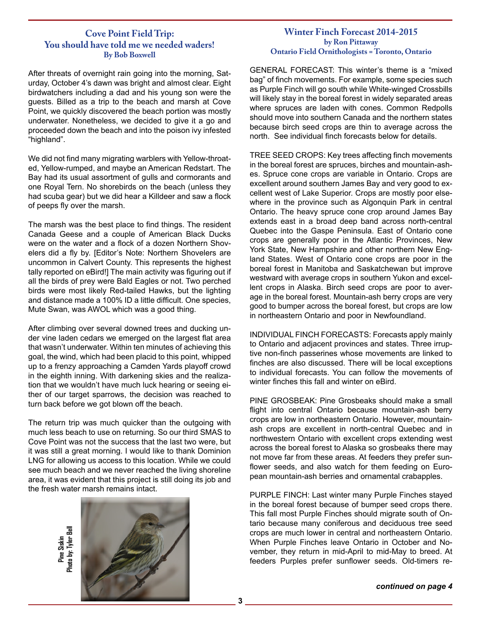## **Cove Point Field Trip: You should have told me we needed waders! By Bob Boxwell**

After threats of overnight rain going into the morning, Saturday, October 4's dawn was bright and almost clear. Eight birdwatchers including a dad and his young son were the guests. Billed as a trip to the beach and marsh at Cove Point, we quickly discovered the beach portion was mostly underwater. Nonetheless, we decided to give it a go and proceeded down the beach and into the poison ivy infested "highland".

We did not find many migrating warblers with Yellow-throated, Yellow-rumped, and maybe an American Redstart. The Bay had its usual assortment of gulls and cormorants and one Royal Tern. No shorebirds on the beach (unless they had scuba gear) but we did hear a Killdeer and saw a flock of peeps fly over the marsh.

The marsh was the best place to find things. The resident Canada Geese and a couple of American Black Ducks were on the water and a flock of a dozen Northern Shovelers did a fly by. [Editor's Note: Northern Shovelers are uncommon in Calvert County. This represents the highest tally reported on eBird!] The main activity was figuring out if all the birds of prey were Bald Eagles or not. Two perched birds were most likely Red-tailed Hawks, but the lighting and distance made a 100% ID a little difficult. One species, Mute Swan, was AWOL which was a good thing.

After climbing over several downed trees and ducking under vine laden cedars we emerged on the largest flat area that wasn't underwater. Within ten minutes of achieving this goal, the wind, which had been placid to this point, whipped up to a frenzy approaching a Camden Yards playoff crowd in the eighth inning. With darkening skies and the realization that we wouldn't have much luck hearing or seeing either of our target sparrows, the decision was reached to turn back before we got blown off the beach.

The return trip was much quicker than the outgoing with much less beach to use on returning. So our third SMAS to Cove Point was not the success that the last two were, but it was still a great morning. I would like to thank Dominion LNG for allowing us access to this location. While we could see much beach and we never reached the living shoreline area, it was evident that this project is still doing its job and the fresh water marsh remains intact.

> Phata by: Tyler Bell **Photo by: Tyler BellPine Siskin**



### **Winter Finch Forecast 2014-2015 by Ron Pittaway Ontario Field Ornithologists = Toronto, Ontario**

GENERAL FORECAST: This winter's theme is a "mixed bag" of finch movements. For example, some species such as Purple Finch will go south while White-winged Crossbills will likely stay in the boreal forest in widely separated areas where spruces are laden with cones. Common Redpolls should move into southern Canada and the northern states because birch seed crops are thin to average across the north. See individual finch forecasts below for details.

TREE SEED CROPS: Key trees affecting finch movements in the boreal forest are spruces, birches and mountain-ashes. Spruce cone crops are variable in Ontario. Crops are excellent around southern James Bay and very good to excellent west of Lake Superior. Crops are mostly poor elsewhere in the province such as Algonquin Park in central Ontario. The heavy spruce cone crop around James Bay extends east in a broad deep band across north-central Quebec into the Gaspe Peninsula. East of Ontario cone crops are generally poor in the Atlantic Provinces, New York State, New Hampshire and other northern New England States. West of Ontario cone crops are poor in the boreal forest in Manitoba and Saskatchewan but improve westward with average crops in southern Yukon and excellent crops in Alaska. Birch seed crops are poor to average in the boreal forest. Mountain-ash berry crops are very good to bumper across the boreal forest, but crops are low in northeastern Ontario and poor in Newfoundland.

INDIVIDUAL FINCH FORECASTS: Forecasts apply mainly to Ontario and adjacent provinces and states. Three irruptive non-finch passerines whose movements are linked to finches are also discussed. There will be local exceptions to individual forecasts. You can follow the movements of winter finches this fall and winter on eBird.

PINE GROSBEAK: Pine Grosbeaks should make a small flight into central Ontario because mountain-ash berry crops are low in northeastern Ontario. However, mountainash crops are excellent in north-central Quebec and in northwestern Ontario with excellent crops extending west across the boreal forest to Alaska so grosbeaks there may not move far from these areas. At feeders they prefer sunflower seeds, and also watch for them feeding on European mountain-ash berries and ornamental crabapples.

PURPLE FINCH: Last winter many Purple Finches stayed in the boreal forest because of bumper seed crops there. This fall most Purple Finches should migrate south of Ontario because many coniferous and deciduous tree seed crops are much lower in central and northeastern Ontario. When Purple Finches leave Ontario in October and November, they return in mid-April to mid-May to breed. At feeders Purples prefer sunflower seeds. Old-timers re-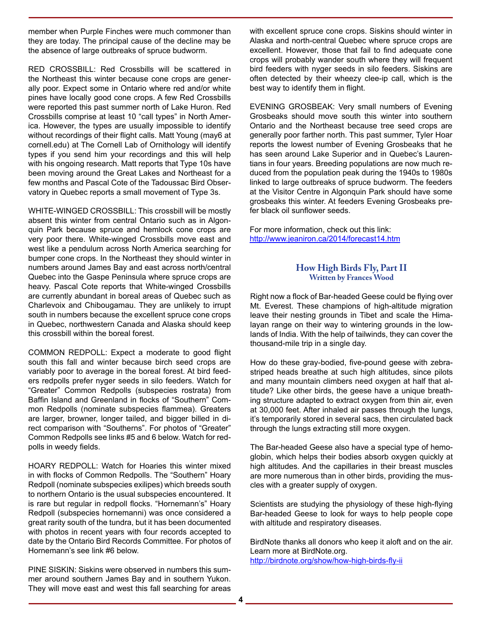member when Purple Finches were much commoner than they are today. The principal cause of the decline may be the absence of large outbreaks of spruce budworm.

RED CROSSBILL: Red Crossbills will be scattered in the Northeast this winter because cone crops are generally poor. Expect some in Ontario where red and/or white pines have locally good cone crops. A few Red Crossbills were reported this past summer north of Lake Huron. Red Crossbills comprise at least 10 "call types" in North America. However, the types are usually impossible to identify without recordings of their flight calls. Matt Young (may6 at cornell.edu) at The Cornell Lab of Ornithology will identify types if you send him your recordings and this will help with his ongoing research. Matt reports that Type 10s have been moving around the Great Lakes and Northeast for a few months and Pascal Cote of the Tadoussac Bird Observatory in Quebec reports a small movement of Type 3s.

WHITE-WINGED CROSSBILL: This crossbill will be mostly absent this winter from central Ontario such as in Algonquin Park because spruce and hemlock cone crops are very poor there. White-winged Crossbills move east and west like a pendulum across North America searching for bumper cone crops. In the Northeast they should winter in numbers around James Bay and east across north/central Quebec into the Gaspe Peninsula where spruce crops are heavy. Pascal Cote reports that White-winged Crossbills are currently abundant in boreal areas of Quebec such as Charlevoix and Chibougamau. They are unlikely to irrupt south in numbers because the excellent spruce cone crops in Quebec, northwestern Canada and Alaska should keep this crossbill within the boreal forest.

COMMON REDPOLL: Expect a moderate to good flight south this fall and winter because birch seed crops are variably poor to average in the boreal forest. At bird feeders redpolls prefer nyger seeds in silo feeders. Watch for "Greater" Common Redpolls (subspecies rostrata) from Baffin Island and Greenland in flocks of "Southern" Common Redpolls (nominate subspecies flammea). Greaters are larger, browner, longer tailed, and bigger billed in direct comparison with "Southerns". For photos of "Greater" Common Redpolls see links #5 and 6 below. Watch for redpolls in weedy fields.

HOARY REDPOLL: Watch for Hoaries this winter mixed in with flocks of Common Redpolls. The "Southern" Hoary Redpoll (nominate subspecies exilipes) which breeds south to northern Ontario is the usual subspecies encountered. It is rare but regular in redpoll flocks. "Hornemann's" Hoary Redpoll (subspecies hornemanni) was once considered a great rarity south of the tundra, but it has been documented with photos in recent years with four records accepted to date by the Ontario Bird Records Committee. For photos of Hornemann's see link #6 below.

PINE SISKIN: Siskins were observed in numbers this summer around southern James Bay and in southern Yukon. They will move east and west this fall searching for areas with excellent spruce cone crops. Siskins should winter in Alaska and north-central Quebec where spruce crops are excellent. However, those that fail to find adequate cone crops will probably wander south where they will frequent bird feeders with nyger seeds in silo feeders. Siskins are often detected by their wheezy clee-ip call, which is the best way to identify them in flight.

EVENING GROSBEAK: Very small numbers of Evening Grosbeaks should move south this winter into southern Ontario and the Northeast because tree seed crops are generally poor farther north. This past summer, Tyler Hoar reports the lowest number of Evening Grosbeaks that he has seen around Lake Superior and in Quebec's Laurentians in four years. Breeding populations are now much reduced from the population peak during the 1940s to 1980s linked to large outbreaks of spruce budworm. The feeders at the Visitor Centre in Algonquin Park should have some grosbeaks this winter. At feeders Evening Grosbeaks prefer black oil sunflower seeds.

For more information, check out this link: http://www.jeaniron.ca/2014/forecast14.htm

## **How High Birds Fly, Part II Written by Frances Wood**

Right now a flock of Bar-headed Geese could be flying over Mt. Everest. These champions of high-altitude migration leave their nesting grounds in Tibet and scale the Himalayan range on their way to wintering grounds in the lowlands of India. With the help of tailwinds, they can cover the thousand-mile trip in a single day.

How do these gray-bodied, five-pound geese with zebrastriped heads breathe at such high altitudes, since pilots and many mountain climbers need oxygen at half that altitude? Like other birds, the geese have a unique breathing structure adapted to extract oxygen from thin air, even at 30,000 feet. After inhaled air passes through the lungs, it's temporarily stored in several sacs, then circulated back through the lungs extracting still more oxygen.

The Bar-headed Geese also have a special type of hemoglobin, which helps their bodies absorb oxygen quickly at high altitudes. And the capillaries in their breast muscles are more numerous than in other birds, providing the muscles with a greater supply of oxygen.

Scientists are studying the physiology of these high-flying Bar-headed Geese to look for ways to help people cope with altitude and respiratory diseases.

BirdNote thanks all donors who keep it aloft and on the air. Learn more at BirdNote.org. http://birdnote.org/show/how-high-birds-fly-ii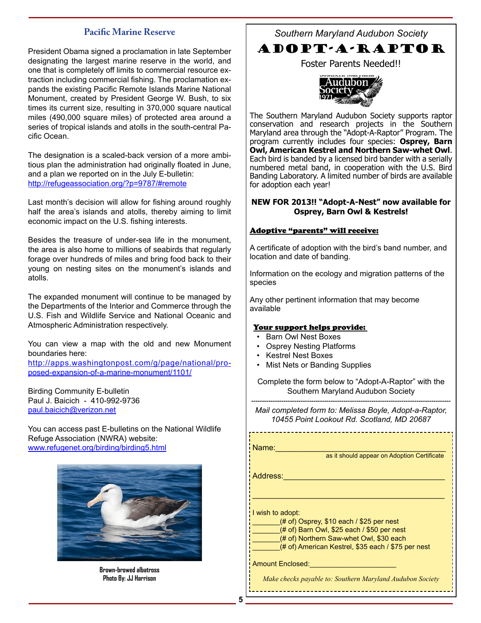## **Pacific Marine Reserve**

President Obama signed a proclamation in late September designating the largest marine reserve in the world, and one that is completely off limits to commercial resource extraction including commercial fishing. The proclamation expands the existing Pacific Remote Islands Marine National Monument, created by President George W. Bush, to six times its current size, resulting in 370,000 square nautical miles (490,000 square miles) of protected area around a series of tropical islands and atolls in the south-central Pacific Ocean.

The designation is a scaled-back version of a more ambitious plan the administration had originally floated in June, and a plan we reported on in the July E-bulletin: http://refugeassociation.org/?p=9787/#remote

Last month's decision will allow for fishing around roughly half the area's islands and atolls, thereby aiming to limit economic impact on the U.S. fishing interests.

Besides the treasure of under-sea life in the monument, the area is also home to millions of seabirds that regularly forage over hundreds of miles and bring food back to their young on nesting sites on the monument's islands and atolls.

The expanded monument will continue to be managed by the Departments of the Interior and Commerce through the U.S. Fish and Wildlife Service and National Oceanic and Atmospheric Administration respectively.

You can view a map with the old and new Monument boundaries here:

http://apps.washingtonpost.com/g/page/national/proposed-expansion-of-a-marine-monument/1101/

Birding Community E-bulletin Paul J. Baicich - 410-992-9736 paul.baicich@verizon.net

You can access past E-bulletins on the National Wildlife Refuge Association (NWRA) website: www.refugenet.org/birding/birding5.html



**Brown-browed albatross Photo By: JJ Harrison**

*Southern Maryland Audubon Society*



Foster Parents Needed!!



The Southern Maryland Audubon Society supports raptor conservation and research projects in the Southern Maryland area through the "Adopt-A-Raptor" Program. The program currently includes four species: **Osprey, Barn Owl, American Kestrel and Northern Saw-whet Owl**. Each bird is banded by a licensed bird bander with a serially numbered metal band, in cooperation with the U.S. Bird Banding Laboratory. A limited number of birds are available for adoption each year!

#### **NEW FOR 2013!! "Adopt-A-Nest" now available for Osprey, Barn Owl & Kestrels!**

#### Adoptive "parents" will receive:

A certificate of adoption with the bird's band number, and location and date of banding.

Information on the ecology and migration patterns of the species

Any other pertinent information that may become available

#### Your support helps provide:

- Barn Owl Nest Boxes
- Osprey Nesting Platforms
- Kestrel Nest Boxes
- **Mist Nets or Banding Supplies**

Complete the form below to "Adopt-A-Raptor" with the Southern Maryland Audubon Society

--------------------------------------------------------------------------------------------- *Mail completed form to: Melissa Boyle, Adopt-a-Raptor, 10455 Point Lookout Rd. Scotland, MD 20687*

Name:\_\_\_\_\_\_\_\_\_\_\_\_\_\_\_\_\_\_\_\_\_\_\_\_\_\_\_\_\_\_\_\_\_\_\_\_\_\_\_

as it should appear on Adoption Certificate

Address:\_\_\_\_\_\_\_\_\_\_\_\_\_\_\_\_\_\_\_\_\_\_\_\_\_\_\_\_\_\_\_\_\_\_\_\_\_

I wish to adopt:

 $(# of)$  Osprey, \$10 each / \$25 per nest

 $(# of)$  Barn Owl, \$25 each / \$50 per nest

(# of) Northern Saw-whet Owl, \$30 each

(# of) American Kestrel, \$35 each / \$75 per nest

\_\_\_\_\_\_\_\_\_\_\_\_\_\_\_\_\_\_\_\_\_\_\_\_\_\_\_\_\_\_\_\_\_\_\_\_\_\_\_\_\_\_\_\_

Amount Enclosed:

*Make checks payable to: Southern Maryland Audubon Society*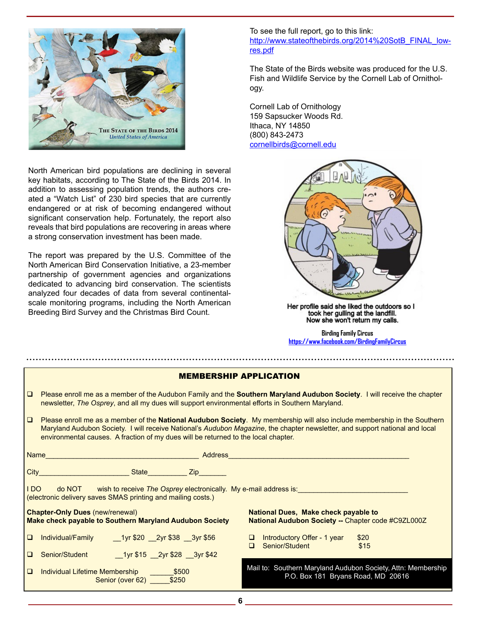

North American bird populations are declining in several key habitats, according to The State of the Birds 2014. In addition to assessing population trends, the authors created a "Watch List" of 230 bird species that are currently endangered or at risk of becoming endangered without significant conservation help. Fortunately, the report also reveals that bird populations are recovering in areas where a strong conservation investment has been made.

The report was prepared by the U.S. Committee of the North American Bird Conservation Initiative, a 23-member partnership of government agencies and organizations dedicated to advancing bird conservation. The scientists analyzed four decades of data from several continentalscale monitoring programs, including the North American Breeding Bird Survey and the Christmas Bird Count.

To see the full report, go to this link: http://www.stateofthebirds.org/2014%20SotB\_FINAL\_lowres.pdf

The State of the Birds website was produced for the U.S. Fish and Wildlife Service by the Cornell Lab of Ornithology.

Cornell Lab of Ornithology 159 Sapsucker Woods Rd. Ithaca, NY 14850 (800) 843-2473 cornellbirds@cornell.edu



Her profile said she liked the outdoors so I took her gulling at the landfill. Now she won't return my calls.

**Birding Family Circus https://www.facebook.com/BirdingFamilyCircus**

|                                                                                                                                                   | <b>MEMBERSHIP APPLICATION</b>                                                                                                                                                                                                                                                                                                                  |  |
|---------------------------------------------------------------------------------------------------------------------------------------------------|------------------------------------------------------------------------------------------------------------------------------------------------------------------------------------------------------------------------------------------------------------------------------------------------------------------------------------------------|--|
| $\Box$                                                                                                                                            | Please enroll me as a member of the Audubon Family and the Southern Maryland Audubon Society. I will receive the chapter<br>newsletter, The Osprey, and all my dues will support environmental efforts in Southern Maryland.                                                                                                                   |  |
| $\Box$                                                                                                                                            | Please enroll me as a member of the National Audubon Society. My membership will also include membership in the Southern<br>Maryland Audubon Society. I will receive National's Audubon Magazine, the chapter newsletter, and support national and local<br>environmental causes. A fraction of my dues will be returned to the local chapter. |  |
|                                                                                                                                                   | Name<br><b>Example Address</b>                                                                                                                                                                                                                                                                                                                 |  |
|                                                                                                                                                   | City City State State New York State State State State State State State State State State State State State State State State State State State State State State State State State State State State State State State State                                                                                                                 |  |
| I DO I<br>do NOT wish to receive The Osprey electronically. My e-mail address is:<br>(electronic delivery saves SMAS printing and mailing costs.) |                                                                                                                                                                                                                                                                                                                                                |  |
|                                                                                                                                                   | <b>National Dues, Make check payable to</b><br><b>Chapter-Only Dues (new/renewal)</b><br><b>Make check payable to Southern Maryland Audubon Society</b><br>National Audubon Society -- Chapter code #C9ZL000Z                                                                                                                                  |  |
| $\Box$                                                                                                                                            | 1yr \$20 2yr \$38 3yr \$56<br>Individual/Family<br>$\Box$ Introductory Offer - 1 year<br>\$20<br>Senior/Student<br>\$15<br>$\Box$                                                                                                                                                                                                              |  |
| $\Box$                                                                                                                                            | Senior/Student 1yr \$15 2yr \$28 3yr \$42                                                                                                                                                                                                                                                                                                      |  |
| $\Box$                                                                                                                                            | Mail to: Southern Maryland Audubon Society, Attn: Membership<br>Individual Lifetime Membership <b>\$500</b><br>P.O. Box 181 Bryans Road, MD 20616<br>Senior (over 62) _____ \$250                                                                                                                                                              |  |

**6**